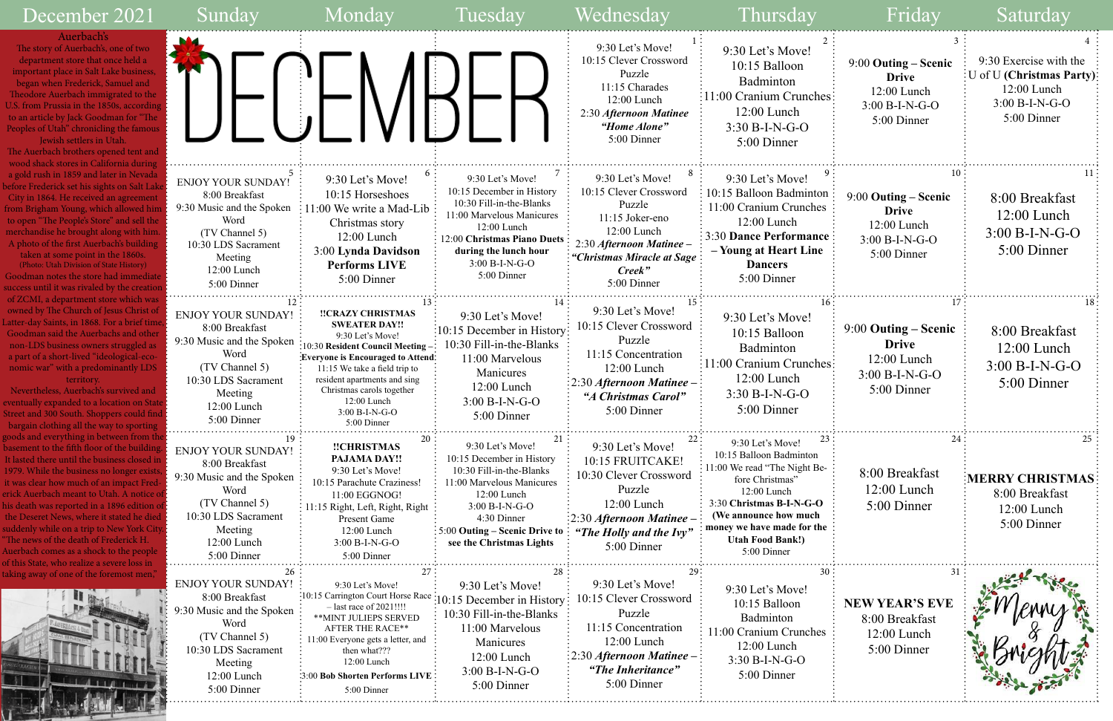| Sunday                                                                                                                                                                    | Mondav                                                                                                                                                                                                                                                                                   | Tuesday                                                                                                                                                                                                                           | Wednesday                                                                                                                                                                 | Thursday                                                                                                                                                                                                                                         | Fridav                                                                                   | Saturday                                                                                                                |
|---------------------------------------------------------------------------------------------------------------------------------------------------------------------------|------------------------------------------------------------------------------------------------------------------------------------------------------------------------------------------------------------------------------------------------------------------------------------------|-----------------------------------------------------------------------------------------------------------------------------------------------------------------------------------------------------------------------------------|---------------------------------------------------------------------------------------------------------------------------------------------------------------------------|--------------------------------------------------------------------------------------------------------------------------------------------------------------------------------------------------------------------------------------------------|------------------------------------------------------------------------------------------|-------------------------------------------------------------------------------------------------------------------------|
|                                                                                                                                                                           |                                                                                                                                                                                                                                                                                          |                                                                                                                                                                                                                                   | 9:30 Let's Move!<br>10:15 Clever Crossword<br>Puzzle<br>11:15 Charades<br>12:00 Lunch<br>2:30 Afternoon Matinee<br>"Home Alone"<br>5:00 Dinner                            | 9:30 Let's Move!<br>10:15 Balloon<br>Badminton<br>11:00 Cranium Crunches<br>$12:00$ Lunch<br>$3:30 B-I-N-G-O$<br>5:00 Dinner                                                                                                                     | 9:00 Outing – Scenic<br><b>Drive</b><br>12:00 Lunch<br>3:00 B-I-N-G-O<br>5:00 Dinner     | 9:30 Exercise with the<br>$\overline{\rm E}$ U of U (Christmas Party)<br>$12:00$ Lunch<br>3:00 B-I-N-G-O<br>5:00 Dinner |
| <b>ENJOY YOUR SUNDAY!</b><br>8:00 Breakfast<br>9:30 Music and the Spoken<br>Word<br>(TV Channel 5)<br>10:30 LDS Sacrament<br>Meeting<br>12:00 Lunch<br>5:00 Dinner        | 9:30 Let's Move!<br>10:15 Horseshoes<br>11:00 We write a Mad-Lib<br>Christmas story<br>$12:00$ Lunch<br>3:00 Lynda Davidson<br><b>Performs LIVE</b><br>5:00 Dinner                                                                                                                       | 9:30 Let's Move!<br>10:15 December in History<br>10:30 Fill-in-the-Blanks<br>11:00 Marvelous Manicures<br>$12:00$ Lunch<br>12:00 Christmas Piano Duets<br>during the lunch hour<br>3:00 B-I-N-G-O<br>5:00 Dinner                  | 9:30 Let's Move!<br>10:15 Clever Crossword<br>Puzzle<br>11:15 Joker-eno<br>12:00 Lunch<br>2:30 Afternoon Matinee -<br>"Christmas Miracle at Sage<br>Creek"<br>5:00 Dinner | 9:30 Let's Move!<br>10:15 Balloon Badminton<br>11:00 Cranium Crunches<br>$12:00$ Lunch<br><b>3:30 Dance Performance</b><br>– Young at Heart Line<br><b>Dancers</b><br>5:00 Dinner                                                                | 9:00 Outing – Scenic<br><b>Drive</b><br>$12:00$ Lunch<br>$3:00 B-I-N-G-O$<br>5:00 Dinner | 8:00 Breakfast<br>$12:00$ Lunch<br>$3:00 B-I-N-G-O$<br>5:00 Dinner                                                      |
| <b>ENJOY YOUR SUNDAY!</b><br>8:00 Breakfast<br>9:30 Music and the Spoken<br>Word<br>(TV Channel 5)<br>10:30 LDS Sacrament<br>Meeting<br>12:00 Lunch<br>5:00 Dinner        | !!CRAZY CHRISTMAS<br><b>SWEATER DAY!!</b><br>9:30 Let's Move!<br>:10:30 Resident Council Meeting -<br>:Everyone is Encouraged to Attend:<br>11:15 We take a field trip to<br>resident apartments and sing<br>Christmas carols together<br>12:00 Lunch<br>$3:00 B-I-N-G-O$<br>5:00 Dinner | 9:30 Let's Move!<br>10:15 December in History<br>10:30 Fill-in-the-Blanks<br>11:00 Marvelous<br>Manicures<br>12:00 Lunch<br>$3:00 B-I-N-G-O$<br>5:00 Dinner                                                                       | 15 :<br>9:30 Let's Move!<br>10:15 Clever Crossword<br>Puzzle<br>11:15 Concentration<br>12:00 Lunch<br>2:30 Afternoon Matinee -<br>"A Christmas Carol"<br>5:00 Dinner      | 9:30 Let's Move!<br>10:15 Balloon<br>Badminton<br>11:00 Cranium Crunches:<br>12:00 Lunch<br>$3:30 B-I-N-G-O$<br>5:00 Dinner                                                                                                                      | $9:00$ Outing – Scenic<br><b>Drive</b><br>12:00 Lunch<br>$3:00 B-I-N-G-O$<br>5:00 Dinner | 8:00 Breakfast<br>$12:00$ Lunch<br>$3:00 B-I-N-G-O$<br>5:00 Dinner                                                      |
| 19.<br><b>ENJOY YOUR SUNDAY!</b><br>8:00 Breakfast<br>9:30 Music and the Spoken<br>Word<br>(TV Channel 5)<br>10:30 LDS Sacrament<br>Meeting<br>12:00 Lunch<br>5:00 Dinner | 20 :<br>!!CHRISTMAS<br>PAJAMA DAY!!<br>9:30 Let's Move!<br>10:15 Parachute Craziness!<br>11:00 EGGNOG!<br>11:15 Right, Left, Right, Right<br>Present Game<br>12:00 Lunch<br>$3:00 B-I-N-G-O$<br>5:00 Dinner                                                                              | 9:30 Let's Move!<br>10:15 December in History<br>10:30 Fill-in-the-Blanks<br>11:00 Marvelous Manicures<br>12:00 Lunch<br>3:00 B-I-N-G-O<br>4:30 Dinner<br>$\frac{1}{2}$ 5:00 Outing – Scenic Drive to<br>see the Christmas Lights | 22:<br>9:30 Let's Move!<br>10:15 FRUITCAKE!<br>10:30 Clever Crossword<br>Puzzle<br>12:00 Lunch<br>:2:30 Afternoon Matinee –<br>"The Holly and the Ivy"<br>5:00 Dinner     | 23<br>9:30 Let's Move!<br>10:15 Balloon Badminton<br>11:00 We read "The Night Be-<br>fore Christmas"<br>12:00 Lunch<br>3:30 Christmas B-I-N-G-O<br>(We announce how much<br>money we have made for the<br><b>Utah Food Bank!)</b><br>5:00 Dinner | 24<br>8:00 Breakfast<br>12:00 Lunch<br>5:00 Dinner                                       | MERRY CHRISTMAS!<br>8:00 Breakfast<br>$12:00$ Lunch<br>5:00 Dinner                                                      |
| 26<br><b>ENJOY YOUR SUNDAY!</b><br>8:00 Breakfast<br>9:30 Music and the Spoken<br>Word<br>(TV Channel 5)<br>10:30 LDS Sacrament<br>Meeting<br>12:00 Lunch<br>5:00 Dinner  | 9:30 Let's Move!<br>:10:15 Carrington Court Horse Race<br>$-$ last race of 2021!!!!<br>** MINT JULIEPS SERVED<br><b>AFTER THE RACE**</b><br>11:00 Everyone gets a letter, and<br>then what???<br>12:00 Lunch<br>3:00 Bob Shorten Performs LIVE<br>5:00 Dinner                            | 28<br>9:30 Let's Move!<br>:10:15 December in History<br>10:30 Fill-in-the-Blanks<br>11:00 Marvelous<br>Manicures<br>12:00 Lunch<br>3:00 B-I-N-G-O<br>5:00 Dinner                                                                  | 9:30 Let's Move!<br>10:15 Clever Crossword<br>Puzzle<br>11:15 Concentration<br>12:00 Lunch<br>: 2:30 Afternoon Matinee –<br>"The Inheritance"<br>5:00 Dinner              | 30<br>9:30 Let's Move!<br>10:15 Balloon<br>Badminton<br>1:00 Cranium Crunches<br>12:00 Lunch<br>$3:30 B-I-N-G-O$<br>5:00 Dinner                                                                                                                  | 31<br><b>NEW YEAR'S EVE</b><br>8:00 Breakfast<br>12:00 Lunch<br>5:00 Dinner              |                                                                                                                         |

| $\overline{2}$                                   | 3                                                                                                  | 4                                                                                                     |
|--------------------------------------------------|----------------------------------------------------------------------------------------------------|-------------------------------------------------------------------------------------------------------|
| ies                                              | 9:00 Outing – Scenic<br><b>Drive</b><br>12:00 Lunch<br>3:00 B-I-N-G-O<br>5:00 Dinner               | 9:30 Exercise with the<br>U of U (Christmas Party):<br>12:00 Lunch<br>$3:00 B-I-N-G-O$<br>5:00 Dinner |
| 9<br>on<br>$\mathop{\rm es}\nolimits$<br>ee<br>e | 10<br>9:00 Outing – Scenic<br><b>Drive</b><br>12:00 Lunch<br>$3:00 B-I-N-G-O$<br>5:00 Dinner       | 11<br>8:00 Breakfast<br>$12:00$ Lunch<br>$3:00 B-I-N-G-O$<br>5:00 Dinner                              |
| 16<br>ies                                        | .<br>17:<br>9:00 Outing - Scenic<br><b>Drive</b><br>12:00 Lunch<br>$3:00 B-I-N-G-O$<br>5:00 Dinner | 18<br>8:00 Breakfast<br>$12:00$ Lunch<br>$3:00 B-I-N-G-O$<br>5:00 Dinner                              |
| 23<br>e-<br>he                                   | 24<br>8:00 Breakfast<br>$12:00$ Lunch<br>5:00 Dinner                                               | 25<br><b>MERRY CHRISTMAS</b><br>8:00 Breakfast<br>12:00 Lunch<br>5:00 Dinner                          |
| 30<br>es                                         | 31<br><b>NEW YEAR'S EVE</b><br>8:00 Breakfast<br>12:00 Lunch<br>5:00 Dinner                        |                                                                                                       |

The story of Auerbach's, one of tv department store that once held important place in Salt Lake busin began when Frederick, Samuel and Theodore Auerbach immigrated to U.S. from Prussia in the 1850s, according to an article by Jack Goodman for ' Peoples of Utah" chronicling the fan Jewish settlers in Utah.

The Auerbach brothers opened tent wood shack stores in California dui a gold rush in 1859 and later in Nev before Frederick set his sights on Salt City in 1864. He received an agreem from Brigham Young, which allowed to open "The People's Store" and sell merchandise he brought along with. A photo of the first Auerbach's build taken at some point in the 1860s.

### December 202

### Auerbach's

(Photo: Utah Division of State History) Goodman notes the store had immediate success until it was rivaled by the cre of ZCMI, a department store which owned by The Church of Jesus Chri Latter-day Saints, in 1868. For a brief Goodman said the Auerbachs and o non-LDS business owners struggle a part of a short-lived "ideologicalnomic war" with a predominantly territory.

Nevertheless, Auerbach's survived a eventually expanded to a location on Street and 300 South. Shoppers could bargain clothing all the way to spor goods and everything in between from basement to the fifth floor of the buil It lasted there until the business clos 1979. While the business no longer exists, it was clear how much of an impact I erick Auerbach meant to Utah. A not his death was reported in a 1896 edition the Deseret News, where it stated he suddenly while on a trip to New York "The news of the death of Frederick H. Auerbach comes as a shock to the pe of this State, who realize a severe loss in taking away of one of the foremost m